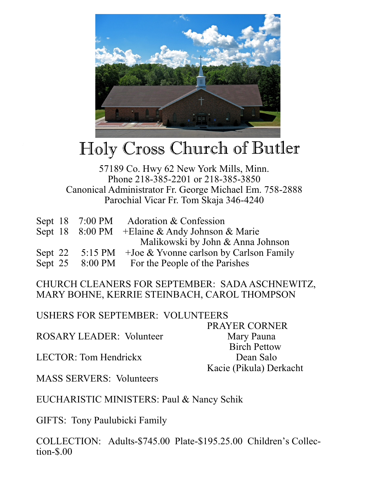

## Holy Cross Church of Butler

## 57189 Co. Hwy 62 New York Mills, Minn. Phone 218-385-2201 or 218-385-3850 Canonical Administrator Fr. George Michael Em. 758-2888 Parochial Vicar Fr. Tom Skaja 346-4240

|  | Sept 18 7:00 PM Adoration & Confession                   |
|--|----------------------------------------------------------|
|  | Sept 18 8:00 PM + Elaine & Andy Johnson & Marie          |
|  | Malikowski by John & Anna Johnson                        |
|  | Sept 22 5:15 PM + Joe & Yvonne carlson by Carlson Family |
|  | Sept 25 8:00 PM For the People of the Parishes           |

CHURCH CLEANERS FOR SEPTEMBER: SADA ASCHNEWITZ, MARY BOHNE, KERRIE STEINBACH, CAROL THOMPSON

USHERS FOR SEPTEMBER: VOLUNTEERS

 PRAYER CORNER ROSARY LEADER: Volunteer Mary Pauna Birch Pettow LECTOR: Tom Hendrickx Dean Salo Kacie (Pikula) Derkacht

MASS SERVERS: Volunteers

EUCHARISTIC MINISTERS: Paul & Nancy Schik

GIFTS: Tony Paulubicki Family

COLLECTION: Adults-\$745.00 Plate-\$195.25.00 Children's Collection-\$.00